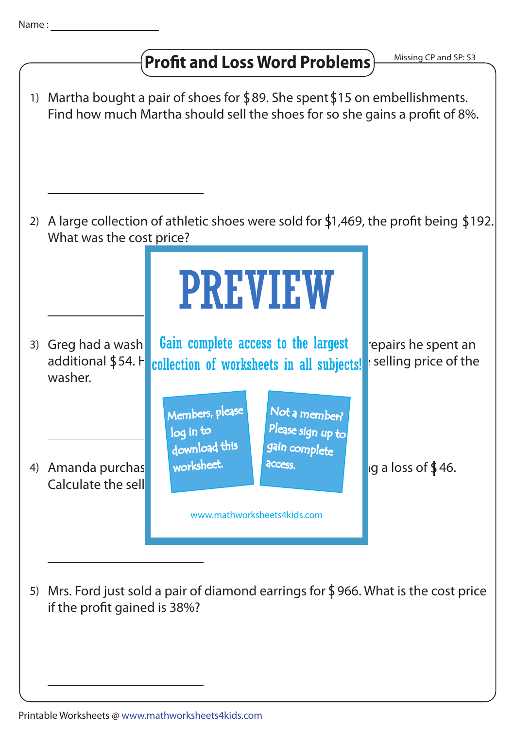## **Profit and Loss Word Problems**)